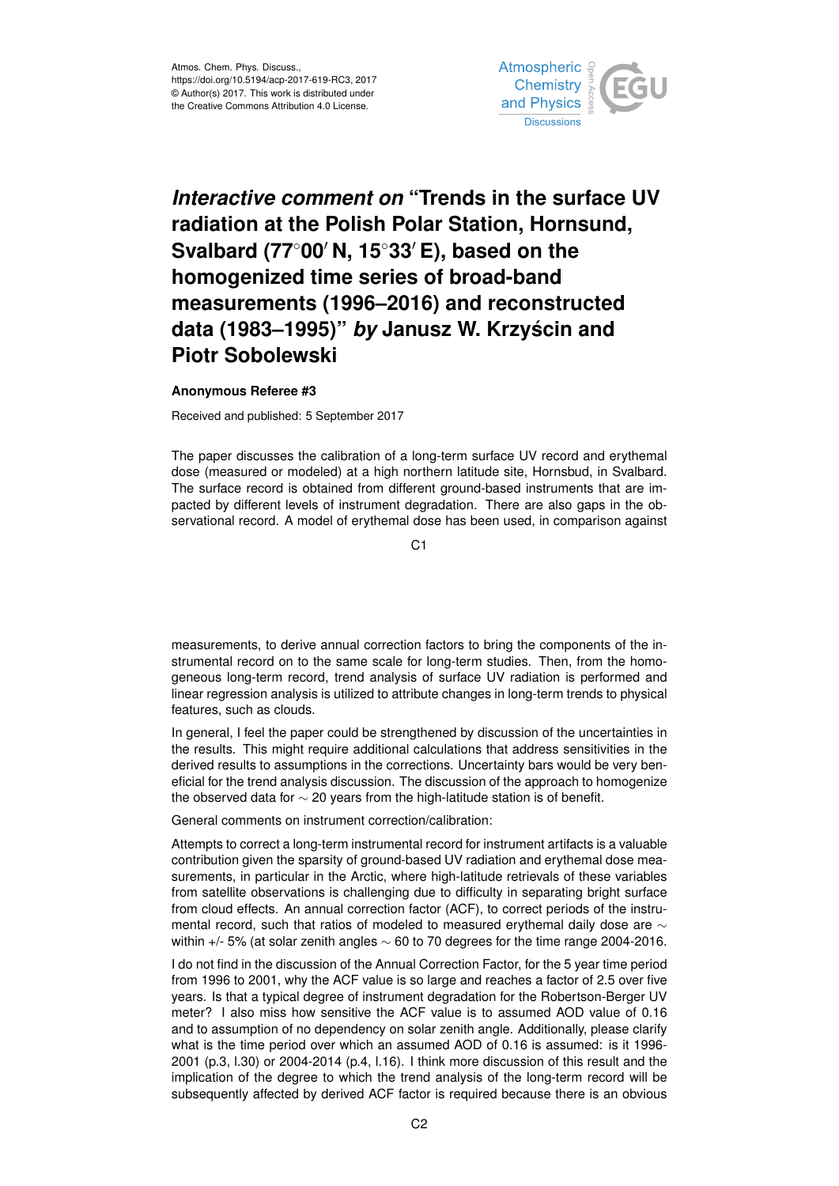

## *Interactive comment on* **"Trends in the surface UV radiation at the Polish Polar Station, Hornsund, Svalbard (77<sup>◦</sup>00<sup>** $′$ **</sup> N, 15<sup>◦</sup>33<sup>** $′$ **</sup> E), based on the homogenized time series of broad-band measurements (1996–2016) and reconstructed data (1983–1995)"** *by* **Janusz W. Krzyscin and ´ Piotr Sobolewski**

## **Anonymous Referee #3**

Received and published: 5 September 2017

The paper discusses the calibration of a long-term surface UV record and erythemal dose (measured or modeled) at a high northern latitude site, Hornsbud, in Svalbard. The surface record is obtained from different ground-based instruments that are impacted by different levels of instrument degradation. There are also gaps in the observational record. A model of erythemal dose has been used, in comparison against

C<sub>1</sub>

measurements, to derive annual correction factors to bring the components of the instrumental record on to the same scale for long-term studies. Then, from the homogeneous long-term record, trend analysis of surface UV radiation is performed and linear regression analysis is utilized to attribute changes in long-term trends to physical features, such as clouds.

In general, I feel the paper could be strengthened by discussion of the uncertainties in the results. This might require additional calculations that address sensitivities in the derived results to assumptions in the corrections. Uncertainty bars would be very beneficial for the trend analysis discussion. The discussion of the approach to homogenize the observed data for ∼ 20 years from the high-latitude station is of benefit.

General comments on instrument correction/calibration:

Attempts to correct a long-term instrumental record for instrument artifacts is a valuable contribution given the sparsity of ground-based UV radiation and erythemal dose measurements, in particular in the Arctic, where high-latitude retrievals of these variables from satellite observations is challenging due to difficulty in separating bright surface from cloud effects. An annual correction factor (ACF), to correct periods of the instrumental record, such that ratios of modeled to measured erythemal daily dose are  $\sim$ within +/- 5% (at solar zenith angles ∼ 60 to 70 degrees for the time range 2004-2016.

I do not find in the discussion of the Annual Correction Factor, for the 5 year time period from 1996 to 2001, why the ACF value is so large and reaches a factor of 2.5 over five years. Is that a typical degree of instrument degradation for the Robertson-Berger UV meter? I also miss how sensitive the ACF value is to assumed AOD value of 0.16 and to assumption of no dependency on solar zenith angle. Additionally, please clarify what is the time period over which an assumed AOD of 0.16 is assumed: is it 1996- 2001 (p.3, l.30) or 2004-2014 (p.4, l.16). I think more discussion of this result and the implication of the degree to which the trend analysis of the long-term record will be subsequently affected by derived ACF factor is required because there is an obvious